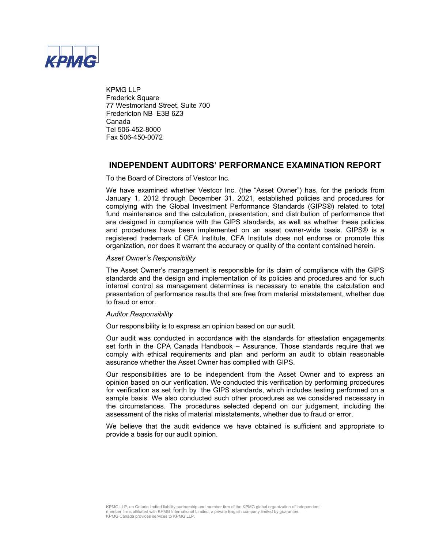

KPMG LLP Frederick Square 77 Westmorland Street, Suite 700 Fredericton NB E3B 6Z3 Canada Tel 506-452-8000 Fax 506-450-0072

# **INDEPENDENT AUDITORS' PERFORMANCE EXAMINATION REPORT**

To the Board of Directors of Vestcor Inc.

We have examined whether Vestcor Inc. (the "Asset Owner") has, for the periods from January 1, 2012 through December 31, 2021, established policies and procedures for complying with the Global Investment Performance Standards (GIPS®) related to total fund maintenance and the calculation, presentation, and distribution of performance that are designed in compliance with the GIPS standards, as well as whether these policies and procedures have been implemented on an asset owner-wide basis. GIPS® is a registered trademark of CFA Institute. CFA Institute does not endorse or promote this organization, nor does it warrant the accuracy or quality of the content contained herein.

### *Asset Owner's Responsibility*

The Asset Owner's management is responsible for its claim of compliance with the GIPS standards and the design and implementation of its policies and procedures and for such internal control as management determines is necessary to enable the calculation and presentation of performance results that are free from material misstatement, whether due to fraud or error.

### *Auditor Responsibility*

Our responsibility is to express an opinion based on our audit.

Our audit was conducted in accordance with the standards for attestation engagements set forth in the CPA Canada Handbook – Assurance. Those standards require that we comply with ethical requirements and plan and perform an audit to obtain reasonable assurance whether the Asset Owner has complied with GIPS.

Our responsibilities are to be independent from the Asset Owner and to express an opinion based on our verification. We conducted this verification by performing procedures for verification as set forth by the GIPS standards, which includes testing performed on a sample basis. We also conducted such other procedures as we considered necessary in the circumstances. The procedures selected depend on our judgement, including the assessment of the risks of material misstatements, whether due to fraud or error.

We believe that the audit evidence we have obtained is sufficient and appropriate to provide a basis for our audit opinion.